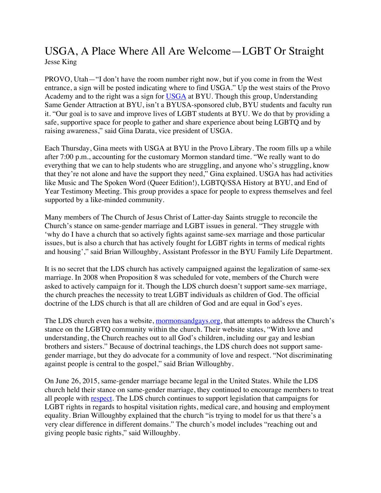## USGA, A Place Where All Are Welcome—LGBT Or Straight Jesse King

PROVO, Utah—"I don't have the room number right now, but if you come in from the West entrance, a sign will be posted indicating where to find USGA." Up the west stairs of the Provo Academy and to the right was a sign for USGA at BYU. Though this group, Understanding Same Gender Attraction at BYU, isn't a BYUSA-sponsored club, BYU students and faculty run it. "Our goal is to save and improve lives of LGBT students at BYU. We do that by providing a safe, supportive space for people to gather and share experience about being LGBTQ and by raising awareness," said Gina Darata, vice president of USGA.

Each Thursday, Gina meets with USGA at BYU in the Provo Library. The room fills up a while after 7:00 p.m., accounting for the customary Mormon standard time. "We really want to do everything that we can to help students who are struggling, and anyone who's struggling, know that they're not alone and have the support they need," Gina explained. USGA has had activities like Music and The Spoken Word (Queer Edition!), LGBTQ/SSA History at BYU, and End of Year Testimony Meeting. This group provides a space for people to express themselves and feel supported by a like-minded community.

Many members of The Church of Jesus Christ of Latter-day Saints struggle to reconcile the Church's stance on same-gender marriage and LGBT issues in general. "They struggle with 'why do I have a church that so actively fights against same-sex marriage and those particular issues, but is also a church that has actively fought for LGBT rights in terms of medical rights and housing'," said Brian Willoughby, Assistant Professor in the BYU Family Life Department.

It is no secret that the LDS church has actively campaigned against the legalization of same-sex marriage. In 2008 when Proposition 8 was scheduled for vote, members of the Church were asked to actively campaign for it. Though the LDS church doesn't support same-sex marriage, the church preaches the necessity to treat LGBT individuals as children of God. The official doctrine of the LDS church is that all are children of God and are equal in God's eyes.

The LDS church even has a website, mormonsandgays.org, that attempts to address the Church's stance on the LGBTQ community within the church. Their website states, "With love and understanding, the Church reaches out to all God's children, including our gay and lesbian brothers and sisters." Because of doctrinal teachings, the LDS church does not support samegender marriage, but they do advocate for a community of love and respect. "Not discriminating against people is central to the gospel," said Brian Willoughby.

On June 26, 2015, same-gender marriage became legal in the United States. While the LDS church held their stance on same-gender marriage, they continued to encourage members to treat all people with respect. The LDS church continues to support legislation that campaigns for LGBT rights in regards to hospital visitation rights, medical care, and housing and employment equality. Brian Willoughby explained that the church "is trying to model for us that there's a very clear difference in different domains." The church's model includes "reaching out and giving people basic rights," said Willoughby.